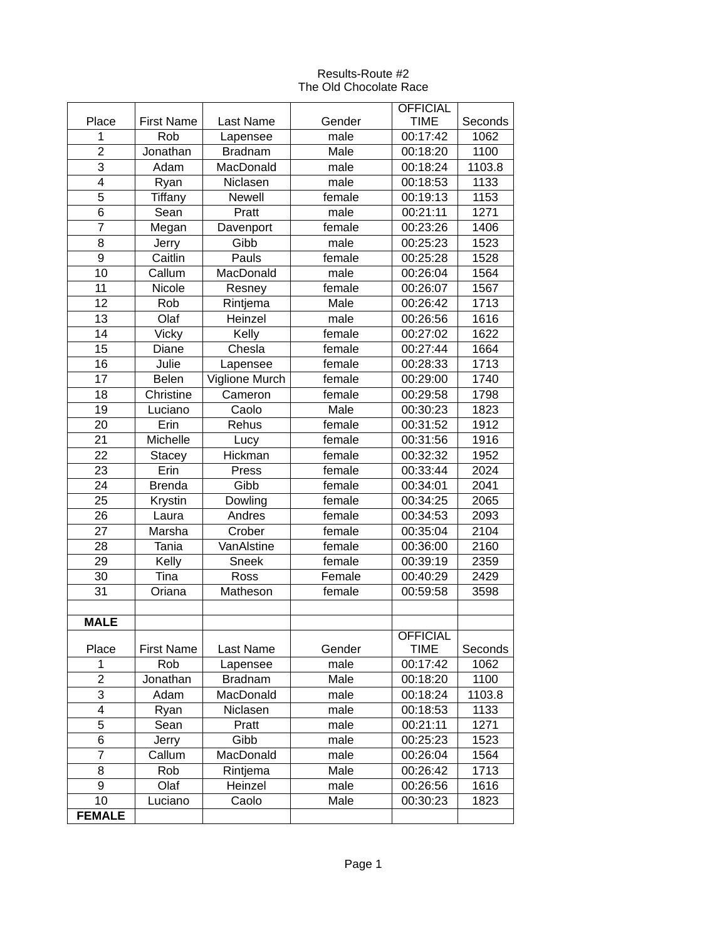## Results-Route #2 The Old Chocolate Race

|                |                   |                  |        | <b>OFFICIAL</b> |         |
|----------------|-------------------|------------------|--------|-----------------|---------|
| Place          | <b>First Name</b> | <b>Last Name</b> | Gender | <b>TIME</b>     | Seconds |
| $\mathbf{1}$   | Rob               | Lapensee         | male   | 00:17:42        | 1062    |
| $\overline{2}$ | Jonathan          | <b>Bradnam</b>   | Male   | 00:18:20        | 1100    |
| 3              | Adam              | MacDonald        | male   | 00:18:24        | 1103.8  |
| 4              | Ryan              | Niclasen         | male   | 00:18:53        | 1133    |
| 5              | <b>Tiffany</b>    | Newell           | female | 00:19:13        | 1153    |
| 6              | Sean              | Pratt            | male   | 00:21:11        | 1271    |
| $\overline{7}$ | Megan             | Davenport        | female | 00:23:26        | 1406    |
| 8              | Jerry             | Gibb             | male   | 00:25:23        | 1523    |
| 9              | Caitlin           | Pauls            | female | 00:25:28        | 1528    |
| 10             | Callum            | MacDonald        | male   | 00:26:04        | 1564    |
| 11             | Nicole            | Resney           | female | 00:26:07        | 1567    |
| 12             | Rob               | Rintjema         | Male   | 00:26:42        | 1713    |
| 13             | Olaf              | Heinzel          | male   | 00:26:56        | 1616    |
| 14             | <b>Vicky</b>      | Kelly            | female | 00:27:02        | 1622    |
| 15             | Diane             | Chesla           | female | 00:27:44        | 1664    |
| 16             | Julie             | Lapensee         | female | 00:28:33        | 1713    |
| 17             | Belen             | Viglione Murch   | female | 00:29:00        | 1740    |
| 18             | Christine         | Cameron          | female | 00:29:58        | 1798    |
|                |                   | Caolo            | Male   |                 | 1823    |
| 19             | Luciano           |                  |        | 00:30:23        |         |
| 20             | Erin              | Rehus            | female | 00:31:52        | 1912    |
| 21             | Michelle          | Lucy             | female | 00:31:56        | 1916    |
| 22             | <b>Stacey</b>     | Hickman          | female | 00:32:32        | 1952    |
| 23             | Erin              | Press            | female | 00:33:44        | 2024    |
| 24             | <b>Brenda</b>     | Gibb             | female | 00:34:01        | 2041    |
| 25             | Krystin           | Dowling          | female | 00:34:25        | 2065    |
| 26             | Laura             | Andres           | female | 00:34:53        | 2093    |
| 27             | Marsha            | Crober           | female | 00:35:04        | 2104    |
| 28             | Tania             | VanAlstine       | female | 00:36:00        | 2160    |
| 29             | Kelly             | Sneek            | female | 00:39:19        | 2359    |
| 30             | Tina              | Ross             | Female | 00:40:29        | 2429    |
| 31             | Oriana            | Matheson         | female | 00:59:58        | 3598    |
|                |                   |                  |        |                 |         |
| <b>MALE</b>    |                   |                  |        |                 |         |
|                |                   |                  |        | <b>OFFICIAL</b> |         |
| Place          | <b>First Name</b> | Last Name        | Gender | <b>TIME</b>     | Seconds |
| 1              | Rob               | Lapensee         | male   | 00:17:42        | 1062    |
| $\overline{c}$ | Jonathan          | <b>Bradnam</b>   | Male   | 00:18:20        | 1100    |
| $\overline{3}$ | Adam              | MacDonald        | male   | 00:18:24        | 1103.8  |
| 4              | Ryan              | Niclasen         | male   | 00:18:53        | 1133    |
| 5              | Sean              | Pratt            | male   | 00:21:11        | 1271    |
| 6              | Jerry             | Gibb             | male   | 00:25:23        | 1523    |
| $\overline{7}$ | Callum            | MacDonald        | male   | 00:26:04        | 1564    |
| 8              | Rob               | Rintjema         | Male   | 00:26:42        | 1713    |
| 9              | Olaf              | Heinzel          | male   | 00:26:56        | 1616    |
| 10             | Luciano           | Caolo            | Male   | 00:30:23        | 1823    |
| <b>FEMALE</b>  |                   |                  |        |                 |         |
|                |                   |                  |        |                 |         |